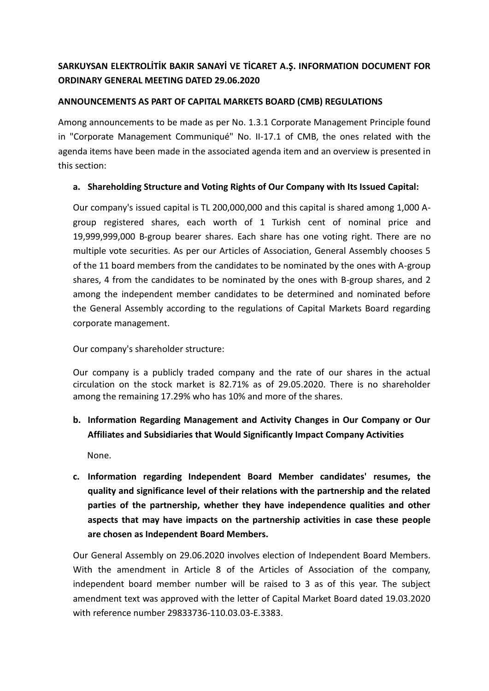## **SARKUYSAN ELEKTROLİTİK BAKIR SANAYİ VE TİCARET A.Ş. INFORMATION DOCUMENT FOR ORDINARY GENERAL MEETING DATED 29.06.2020**

#### **ANNOUNCEMENTS AS PART OF CAPITAL MARKETS BOARD (CMB) REGULATIONS**

Among announcements to be made as per No. 1.3.1 Corporate Management Principle found in "Corporate Management Communiqué" No. II-17.1 of CMB, the ones related with the agenda items have been made in the associated agenda item and an overview is presented in this section:

#### **a. Shareholding Structure and Voting Rights of Our Company with Its Issued Capital:**

Our company's issued capital is TL 200,000,000 and this capital is shared among 1,000 Agroup registered shares, each worth of 1 Turkish cent of nominal price and 19,999,999,000 B-group bearer shares. Each share has one voting right. There are no multiple vote securities. As per our Articles of Association, General Assembly chooses 5 of the 11 board members from the candidates to be nominated by the ones with A-group shares, 4 from the candidates to be nominated by the ones with B-group shares, and 2 among the independent member candidates to be determined and nominated before the General Assembly according to the regulations of Capital Markets Board regarding corporate management.

Our company's shareholder structure:

Our company is a publicly traded company and the rate of our shares in the actual circulation on the stock market is 82.71% as of 29.05.2020. There is no shareholder among the remaining 17.29% who has 10% and more of the shares.

### **b. Information Regarding Management and Activity Changes in Our Company or Our Affiliates and Subsidiaries that Would Significantly Impact Company Activities**

None.

**c. Information regarding Independent Board Member candidates' resumes, the quality and significance level of their relations with the partnership and the related parties of the partnership, whether they have independence qualities and other aspects that may have impacts on the partnership activities in case these people are chosen as Independent Board Members.**

Our General Assembly on 29.06.2020 involves election of Independent Board Members. With the amendment in Article 8 of the Articles of Association of the company, independent board member number will be raised to 3 as of this year. The subject amendment text was approved with the letter of Capital Market Board dated 19.03.2020 with reference number 29833736-110.03.03-E.3383.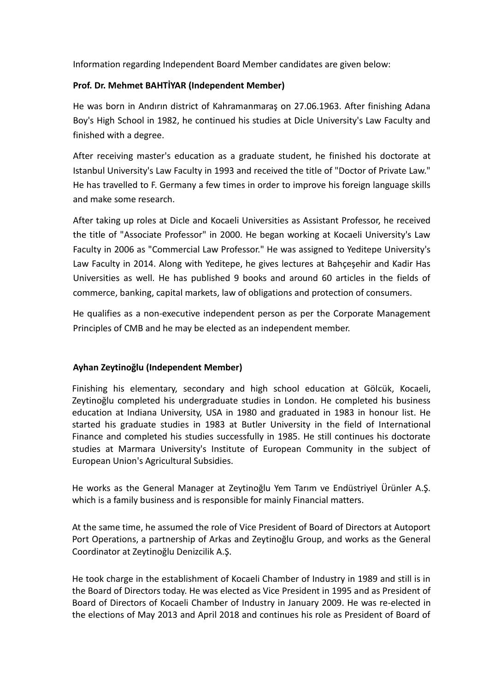Information regarding Independent Board Member candidates are given below:

#### **Prof. Dr. Mehmet BAHTİYAR (Independent Member)**

He was born in Andırın district of Kahramanmaraş on 27.06.1963. After finishing Adana Boy's High School in 1982, he continued his studies at Dicle University's Law Faculty and finished with a degree.

After receiving master's education as a graduate student, he finished his doctorate at Istanbul University's Law Faculty in 1993 and received the title of "Doctor of Private Law." He has travelled to F. Germany a few times in order to improve his foreign language skills and make some research.

After taking up roles at Dicle and Kocaeli Universities as Assistant Professor, he received the title of "Associate Professor" in 2000. He began working at Kocaeli University's Law Faculty in 2006 as "Commercial Law Professor." He was assigned to Yeditepe University's Law Faculty in 2014. Along with Yeditepe, he gives lectures at Bahçeşehir and Kadir Has Universities as well. He has published 9 books and around 60 articles in the fields of commerce, banking, capital markets, law of obligations and protection of consumers.

He qualifies as a non-executive independent person as per the Corporate Management Principles of CMB and he may be elected as an independent member.

#### **Ayhan Zeytinoğlu (Independent Member)**

Finishing his elementary, secondary and high school education at Gölcük, Kocaeli, Zeytinoğlu completed his undergraduate studies in London. He completed his business education at Indiana University, USA in 1980 and graduated in 1983 in honour list. He started his graduate studies in 1983 at Butler University in the field of International Finance and completed his studies successfully in 1985. He still continues his doctorate studies at Marmara University's Institute of European Community in the subject of European Union's Agricultural Subsidies.

He works as the General Manager at Zeytinoğlu Yem Tarım ve Endüstriyel Ürünler A.Ş. which is a family business and is responsible for mainly Financial matters.

At the same time, he assumed the role of Vice President of Board of Directors at Autoport Port Operations, a partnership of Arkas and Zeytinoğlu Group, and works as the General Coordinator at Zeytinoğlu Denizcilik A.Ş.

He took charge in the establishment of Kocaeli Chamber of Industry in 1989 and still is in the Board of Directors today. He was elected as Vice President in 1995 and as President of Board of Directors of Kocaeli Chamber of Industry in January 2009. He was re-elected in the elections of May 2013 and April 2018 and continues his role as President of Board of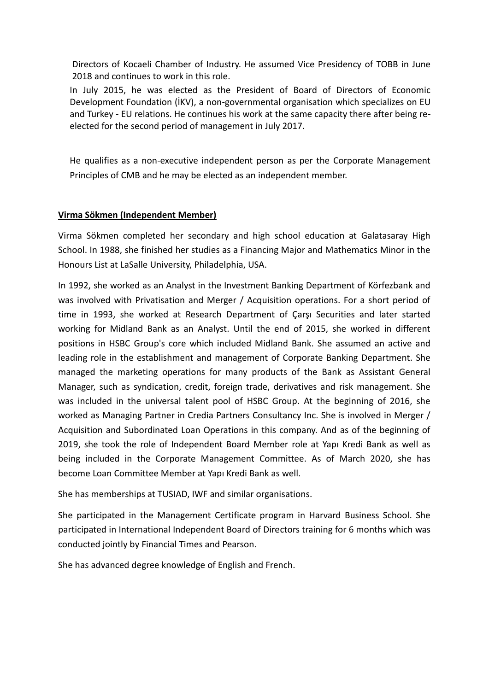Directors of Kocaeli Chamber of Industry. He assumed Vice Presidency of TOBB in June 2018 and continues to work in this role.

In July 2015, he was elected as the President of Board of Directors of Economic Development Foundation (İKV), a non-governmental organisation which specializes on EU and Turkey - EU relations. He continues his work at the same capacity there after being reelected for the second period of management in July 2017.

He qualifies as a non-executive independent person as per the Corporate Management Principles of CMB and he may be elected as an independent member.

### **Virma Sökmen (Independent Member)**

Virma Sökmen completed her secondary and high school education at Galatasaray High School. In 1988, she finished her studies as a Financing Major and Mathematics Minor in the Honours List at LaSalle University, Philadelphia, USA.

In 1992, she worked as an Analyst in the Investment Banking Department of Körfezbank and was involved with Privatisation and Merger / Acquisition operations. For a short period of time in 1993, she worked at Research Department of Çarşı Securities and later started working for Midland Bank as an Analyst. Until the end of 2015, she worked in different positions in HSBC Group's core which included Midland Bank. She assumed an active and leading role in the establishment and management of Corporate Banking Department. She managed the marketing operations for many products of the Bank as Assistant General Manager, such as syndication, credit, foreign trade, derivatives and risk management. She was included in the universal talent pool of HSBC Group. At the beginning of 2016, she worked as Managing Partner in Credia Partners Consultancy Inc. She is involved in Merger / Acquisition and Subordinated Loan Operations in this company. And as of the beginning of 2019, she took the role of Independent Board Member role at Yapı Kredi Bank as well as being included in the Corporate Management Committee. As of March 2020, she has become Loan Committee Member at Yapı Kredi Bank as well.

She has memberships at TUSIAD, IWF and similar organisations.

She participated in the Management Certificate program in Harvard Business School. She participated in International Independent Board of Directors training for 6 months which was conducted jointly by Financial Times and Pearson.

She has advanced degree knowledge of English and French.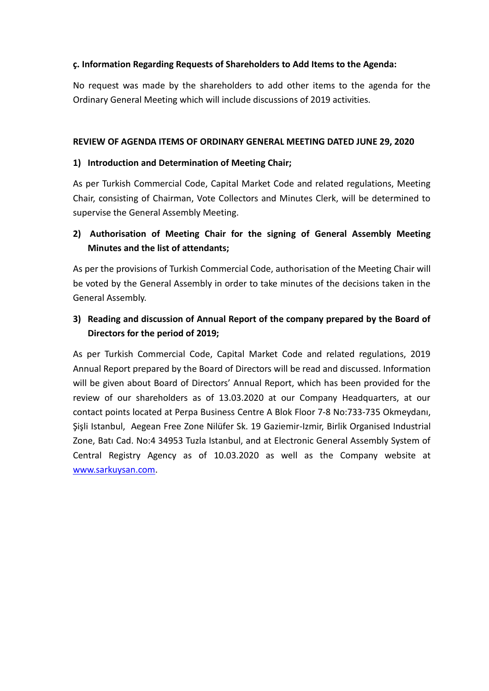#### **ç. Information Regarding Requests of Shareholders to Add Items to the Agenda:**

No request was made by the shareholders to add other items to the agenda for the Ordinary General Meeting which will include discussions of 2019 activities.

#### **REVIEW OF AGENDA ITEMS OF ORDINARY GENERAL MEETING DATED JUNE 29, 2020**

#### **1) Introduction and Determination of Meeting Chair;**

As per Turkish Commercial Code, Capital Market Code and related regulations, Meeting Chair, consisting of Chairman, Vote Collectors and Minutes Clerk, will be determined to supervise the General Assembly Meeting.

### **2) Authorisation of Meeting Chair for the signing of General Assembly Meeting Minutes and the list of attendants;**

As per the provisions of Turkish Commercial Code, authorisation of the Meeting Chair will be voted by the General Assembly in order to take minutes of the decisions taken in the General Assembly.

## **3) Reading and discussion of Annual Report of the company prepared by the Board of Directors for the period of 2019;**

As per Turkish Commercial Code, Capital Market Code and related regulations, 2019 Annual Report prepared by the Board of Directors will be read and discussed. Information will be given about Board of Directors' Annual Report, which has been provided for the review of our shareholders as of 13.03.2020 at our Company Headquarters, at our contact points located at Perpa Business Centre A Blok Floor 7-8 No:733-735 Okmeydanı, Şişli Istanbul, Aegean Free Zone Nilüfer Sk. 19 Gaziemir-Izmir, Birlik Organised Industrial Zone, Batı Cad. No:4 34953 Tuzla Istanbul, and at Electronic General Assembly System of Central Registry Agency as of 10.03.2020 as well as the Company website at [www.sarkuysan.com.](http://www.sarkuysan.com/)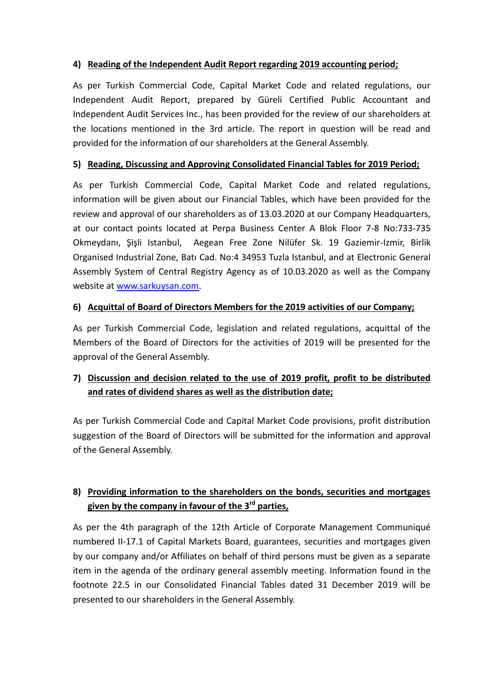### **4) Reading of the Independent Audit Report regarding 2019 accounting period;**

As per Turkish Commercial Code, Capital Market Code and related regulations, our Independent Audit Report, prepared by Güreli Certified Public Accountant and Independent Audit Services Inc., has been provided for the review of our shareholders at the locations mentioned in the 3rd article. The report in question will be read and provided for the information of our shareholders at the General Assembly.

#### **5) Reading, Discussing and Approving Consolidated Financial Tables for 2019 Period;**

As per Turkish Commercial Code, Capital Market Code and related regulations, information will be given about our Financial Tables, which have been provided for the review and approval of our shareholders as of 13.03.2020 at our Company Headquarters, at our contact points located at Perpa Business Center A Blok Floor 7-8 No:733-735 Okmeydanı, Şişli Istanbul, Aegean Free Zone Nilüfer Sk. 19 Gaziemir-Izmir, Birlik Organised Industrial Zone, Batı Cad. No:4 34953 Tuzla Istanbul, and at Electronic General Assembly System of Central Registry Agency as of 10.03.2020 as well as the Company website at [www.sarkuysan.com.](http://www.sarkuysan.com/)

#### **6) Acquittal of Board of Directors Members for the 2019 activities of our Company;**

As per Turkish Commercial Code, legislation and related regulations, acquittal of the Members of the Board of Directors for the activities of 2019 will be presented for the approval of the General Assembly.

## **7) Discussion and decision related to the use of 2019 profit, profit to be distributed and rates of dividend shares as well as the distribution date;**

As per Turkish Commercial Code and Capital Market Code provisions, profit distribution suggestion of the Board of Directors will be submitted for the information and approval of the General Assembly.

## **8) Providing information to the shareholders on the bonds, securities and mortgages given by the company in favour of the 3rd parties,**

As per the 4th paragraph of the 12th Article of Corporate Management Communiqué numbered II-17.1 of Capital Markets Board, guarantees, securities and mortgages given by our company and/or Affiliates on behalf of third persons must be given as a separate item in the agenda of the ordinary general assembly meeting. Information found in the footnote 22.5 in our Consolidated Financial Tables dated 31 December 2019 will be presented to our shareholders in the General Assembly.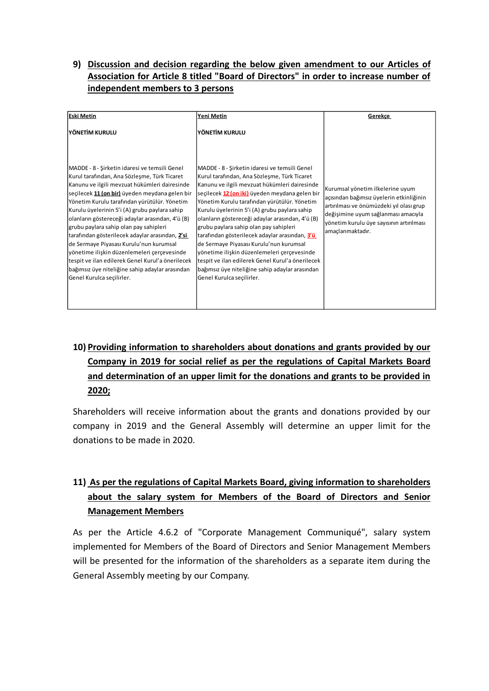### **9) Discussion and decision regarding the below given amendment to our Articles of Association for Article 8 titled "Board of Directors" in order to increase number of independent members to 3 persons**

| <b>Eski Metin</b>                                                                                                                                                                                                                                                                                                                                                                                                                                                                                                                                                                                                                                                                | Yeni Metin                                                                                                                                                                                                                                                                                                                                                                                                                                                                                                                                                                                                                                                                      | Gerekce                                                                                                                                                                                                                         |
|----------------------------------------------------------------------------------------------------------------------------------------------------------------------------------------------------------------------------------------------------------------------------------------------------------------------------------------------------------------------------------------------------------------------------------------------------------------------------------------------------------------------------------------------------------------------------------------------------------------------------------------------------------------------------------|---------------------------------------------------------------------------------------------------------------------------------------------------------------------------------------------------------------------------------------------------------------------------------------------------------------------------------------------------------------------------------------------------------------------------------------------------------------------------------------------------------------------------------------------------------------------------------------------------------------------------------------------------------------------------------|---------------------------------------------------------------------------------------------------------------------------------------------------------------------------------------------------------------------------------|
| YÖNETİM KURULU                                                                                                                                                                                                                                                                                                                                                                                                                                                                                                                                                                                                                                                                   | YÖNETİM KURULU                                                                                                                                                                                                                                                                                                                                                                                                                                                                                                                                                                                                                                                                  |                                                                                                                                                                                                                                 |
| MADDE - 8 - Şirketin idaresi ve temsili Genel<br>Kurul tarafından, Ana Sözleşme, Türk Ticaret<br>Kanunu ve ilgili mevzuat hükümleri dairesinde<br>seçilecek 11 (on bir) üyeden meydana gelen bir<br>Yönetim Kurulu tarafından yürütülür. Yönetim<br>Kurulu üyelerinin 5'i (A) grubu paylara sahip<br>olanların göstereceği adaylar arasından, 4'ü (B)<br>grubu paylara sahip olan pay sahipleri<br>tarafından gösterilecek adaylar arasından, 2'si<br>de Sermaye Piyasası Kurulu'nun kurumsal<br>yönetime ilişkin düzenlemeleri çerçevesinde<br>tespit ve ilan edilerek Genel Kurul'a önerilecek<br>bağımsız üye niteliğine sahip adaylar arasından<br>Genel Kurulca seçilirler. | MADDE - 8 - Şirketin idaresi ve temsili Genel<br>Kurul tarafından, Ana Sözleşme, Türk Ticaret<br>Kanunu ve ilgili mevzuat hükümleri dairesinde<br>seçilecek 12 (on iki) üyeden meydana gelen bir<br>Yönetim Kurulu tarafından yürütülür. Yönetim<br>Kurulu üyelerinin 5'i (A) grubu paylara sahip<br>olanların göstereceği adaylar arasından, 4'ü (B)<br>grubu paylara sahip olan pay sahipleri<br>tarafından gösterilecek adaylar arasından, 3'ü<br>de Sermaye Piyasası Kurulu'nun kurumsal<br>yönetime ilişkin düzenlemeleri çerçevesinde<br>tespit ve ilan edilerek Genel Kurul'a önerilecek<br>bağımsız üye niteliğine sahip adaylar arasından<br>Genel Kurulca secilirler. | Kurumsal yönetim ilkelerine uyum<br>açısından bağımsız üyelerin etkinliğinin<br>artırılması ve önümüzdeki yıl olası grup<br>değişimine uyum sağlanması amacıyla<br>yönetim kurulu üye sayısının artırılması<br>amaçlanmaktadır. |

# **10) Providing information to shareholders about donations and grants provided by our Company in 2019 for social relief as per the regulations of Capital Markets Board and determination of an upper limit for the donations and grants to be provided in 2020;**

Shareholders will receive information about the grants and donations provided by our company in 2019 and the General Assembly will determine an upper limit for the donations to be made in 2020.

# **11) As per the regulations of Capital Markets Board, giving information to shareholders about the salary system for Members of the Board of Directors and Senior Management Members**

As per the Article 4.6.2 of "Corporate Management Communiqué", salary system implemented for Members of the Board of Directors and Senior Management Members will be presented for the information of the shareholders as a separate item during the General Assembly meeting by our Company.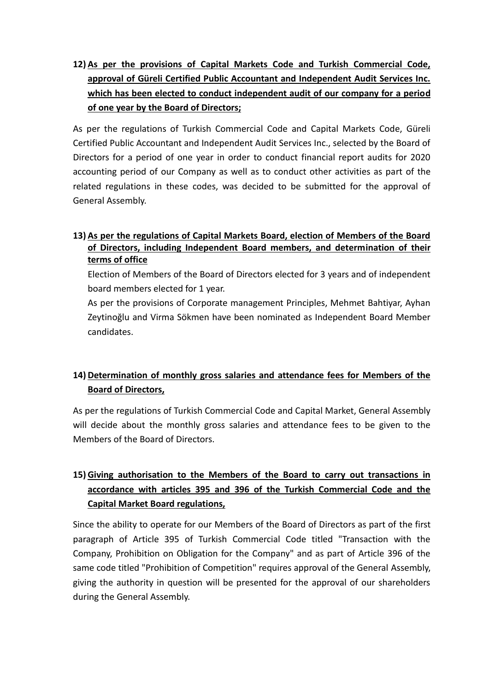**12) As per the provisions of Capital Markets Code and Turkish Commercial Code, approval of Güreli Certified Public Accountant and Independent Audit Services Inc. which has been elected to conduct independent audit of our company for a period of one year by the Board of Directors;**

As per the regulations of Turkish Commercial Code and Capital Markets Code, Güreli Certified Public Accountant and Independent Audit Services Inc., selected by the Board of Directors for a period of one year in order to conduct financial report audits for 2020 accounting period of our Company as well as to conduct other activities as part of the related regulations in these codes, was decided to be submitted for the approval of General Assembly.

### **13) As per the regulations of Capital Markets Board, election of Members of the Board of Directors, including Independent Board members, and determination of their terms of office**

Election of Members of the Board of Directors elected for 3 years and of independent board members elected for 1 year.

As per the provisions of Corporate management Principles, Mehmet Bahtiyar, Ayhan Zeytinoğlu and Virma Sökmen have been nominated as Independent Board Member candidates.

# **14) Determination of monthly gross salaries and attendance fees for Members of the Board of Directors,**

As per the regulations of Turkish Commercial Code and Capital Market, General Assembly will decide about the monthly gross salaries and attendance fees to be given to the Members of the Board of Directors.

# **15) Giving authorisation to the Members of the Board to carry out transactions in accordance with articles 395 and 396 of the Turkish Commercial Code and the Capital Market Board regulations,**

Since the ability to operate for our Members of the Board of Directors as part of the first paragraph of Article 395 of Turkish Commercial Code titled "Transaction with the Company, Prohibition on Obligation for the Company" and as part of Article 396 of the same code titled "Prohibition of Competition" requires approval of the General Assembly, giving the authority in question will be presented for the approval of our shareholders during the General Assembly.